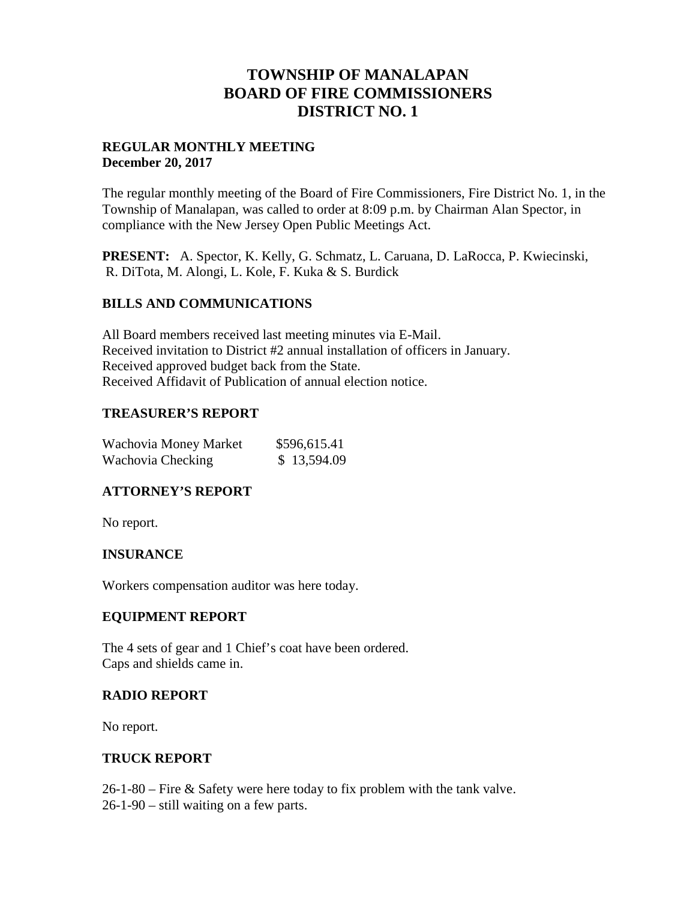## **TOWNSHIP OF MANALAPAN BOARD OF FIRE COMMISSIONERS DISTRICT NO. 1**

### **REGULAR MONTHLY MEETING December 20, 2017**

The regular monthly meeting of the Board of Fire Commissioners, Fire District No. 1, in the Township of Manalapan, was called to order at 8:09 p.m. by Chairman Alan Spector, in compliance with the New Jersey Open Public Meetings Act.

**PRESENT:** A. Spector, K. Kelly, G. Schmatz, L. Caruana, D. LaRocca, P. Kwiecinski, R. DiTota, M. Alongi, L. Kole, F. Kuka & S. Burdick

## **BILLS AND COMMUNICATIONS**

All Board members received last meeting minutes via E-Mail. Received invitation to District #2 annual installation of officers in January. Received approved budget back from the State. Received Affidavit of Publication of annual election notice.

### **TREASURER'S REPORT**

| Wachovia Money Market | \$596,615.41 |
|-----------------------|--------------|
| Wachovia Checking     | \$13,594.09  |

## **ATTORNEY'S REPORT**

No report.

#### **INSURANCE**

Workers compensation auditor was here today.

#### **EQUIPMENT REPORT**

The 4 sets of gear and 1 Chief's coat have been ordered. Caps and shields came in.

#### **RADIO REPORT**

No report.

#### **TRUCK REPORT**

26-1-80 – Fire & Safety were here today to fix problem with the tank valve.

26-1-90 – still waiting on a few parts.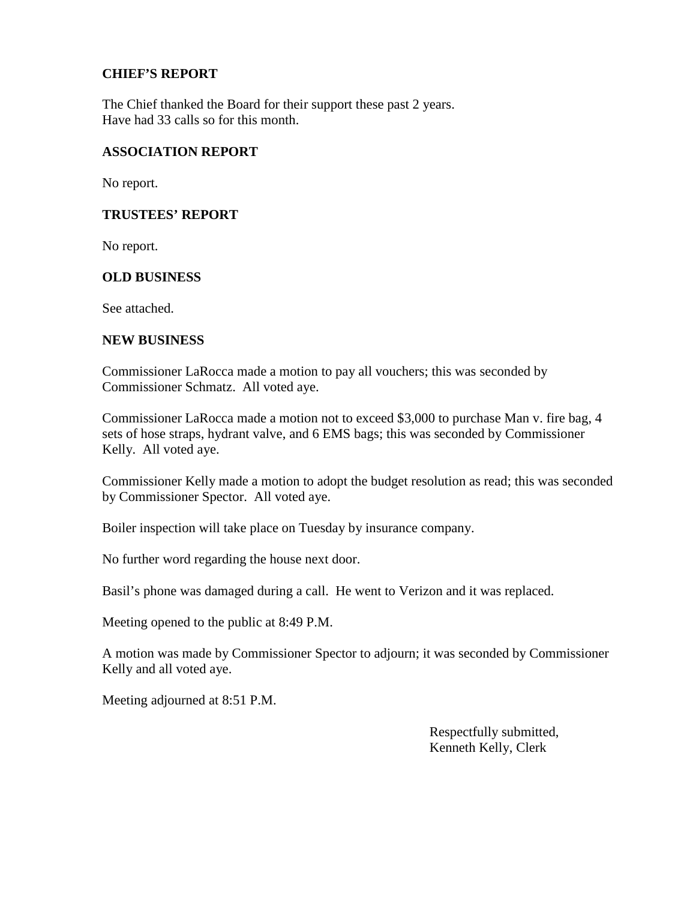### **CHIEF'S REPORT**

The Chief thanked the Board for their support these past 2 years. Have had 33 calls so for this month.

### **ASSOCIATION REPORT**

No report.

#### **TRUSTEES' REPORT**

No report.

#### **OLD BUSINESS**

See attached.

#### **NEW BUSINESS**

Commissioner LaRocca made a motion to pay all vouchers; this was seconded by Commissioner Schmatz. All voted aye.

Commissioner LaRocca made a motion not to exceed \$3,000 to purchase Man v. fire bag, 4 sets of hose straps, hydrant valve, and 6 EMS bags; this was seconded by Commissioner Kelly. All voted aye.

Commissioner Kelly made a motion to adopt the budget resolution as read; this was seconded by Commissioner Spector. All voted aye.

Boiler inspection will take place on Tuesday by insurance company.

No further word regarding the house next door.

Basil's phone was damaged during a call. He went to Verizon and it was replaced.

Meeting opened to the public at 8:49 P.M.

A motion was made by Commissioner Spector to adjourn; it was seconded by Commissioner Kelly and all voted aye.

Meeting adjourned at 8:51 P.M.

Respectfully submitted, Kenneth Kelly, Clerk